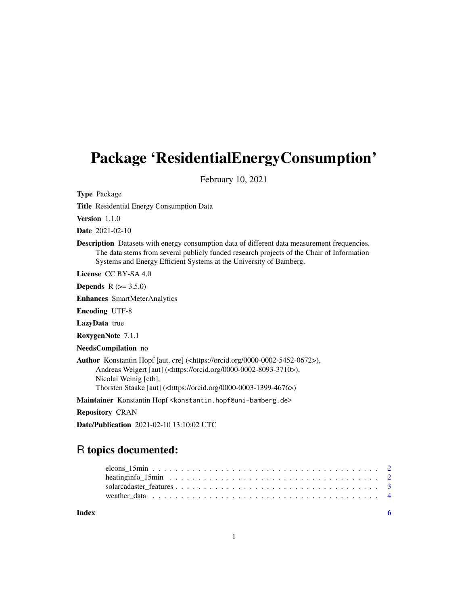## Package 'ResidentialEnergyConsumption'

February 10, 2021

Type Package

Title Residential Energy Consumption Data

Version 1.1.0

Date 2021-02-10

Description Datasets with energy consumption data of different data measurement frequencies. The data stems from several publicly funded research projects of the Chair of Information Systems and Energy Efficient Systems at the University of Bamberg.

License CC BY-SA 4.0

**Depends**  $R (= 3.5.0)$ 

Enhances SmartMeterAnalytics

Encoding UTF-8

LazyData true

RoxygenNote 7.1.1

NeedsCompilation no

Author Konstantin Hopf [aut, cre] (<https://orcid.org/0000-0002-5452-0672>), Andreas Weigert [aut] (<https://orcid.org/0000-0002-8093-3710>), Nicolai Weinig [ctb], Thorsten Staake [aut] (<https://orcid.org/0000-0003-1399-4676>)

Maintainer Konstantin Hopf <konstantin.hopf@uni-bamberg.de>

Repository CRAN

Date/Publication 2021-02-10 13:10:02 UTC

### R topics documented:

**Index** [6](#page-5-0) **6**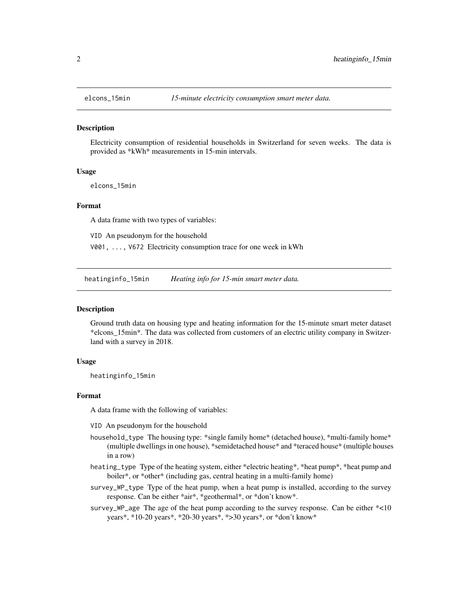<span id="page-1-0"></span>

#### Description

Electricity consumption of residential households in Switzerland for seven weeks. The data is provided as \*kWh\* measurements in 15-min intervals.

#### Usage

elcons\_15min

#### Format

A data frame with two types of variables:

VID An pseudonym for the household

V001, ..., V672 Electricity consumption trace for one week in kWh

heatinginfo\_15min *Heating info for 15-min smart meter data.*

#### Description

Ground truth data on housing type and heating information for the 15-minute smart meter dataset \*elcons\_15min\*. The data was collected from customers of an electric utility company in Switzerland with a survey in 2018.

#### Usage

heatinginfo\_15min

#### Format

A data frame with the following of variables:

- VID An pseudonym for the household
- household\_type The housing type: \*single family home\* (detached house), \*multi-family home\* (multiple dwellings in one house), \*semidetached house\* and \*teraced house\* (multiple houses in a row)
- heating\_type Type of the heating system, either \*electric heating\*, \*heat pump\*, \*heat pump and boiler\*, or \*other\* (including gas, central heating in a multi-family home)
- survey\_WP\_type Type of the heat pump, when a heat pump is installed, according to the survey response. Can be either \*air\*, \*geothermal\*, or \*don't know\*.
- survey\_WP\_age The age of the heat pump according to the survey response. Can be either  $*$ <10 years\*, \*10-20 years\*, \*20-30 years\*, \*>30 years\*, or \*don't know\*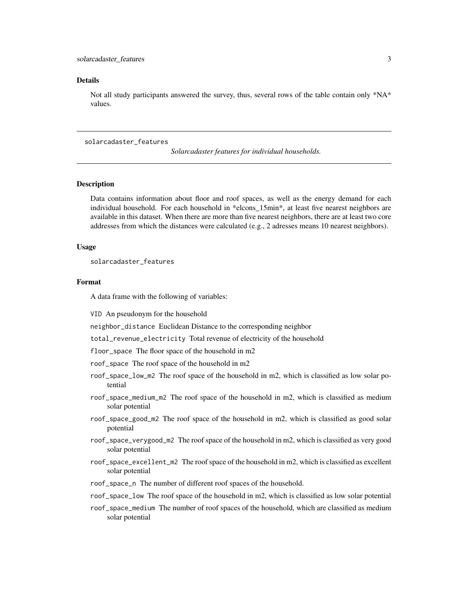#### <span id="page-2-0"></span>Details

Not all study participants answered the survey, thus, several rows of the table contain only \*NA\* values.

#### solarcadaster\_features

*Solarcadaster features for individual households.*

#### **Description**

Data contains information about floor and roof spaces, as well as the energy demand for each individual household. For each household in \*elcons\_15min\*, at least five nearest neighbors are available in this dataset. When there are more than five nearest neighbors, there are at least two core addresses from which the distances were calculated (e.g., 2 adresses means 10 nearest neighbors).

#### Usage

solarcadaster\_features

#### Format

A data frame with the following of variables:

VID An pseudonym for the household

neighbor\_distance Euclidean Distance to the corresponding neighbor

total\_revenue\_electricity Total revenue of electricity of the household

floor\_space The floor space of the household in m2

roof\_space The roof space of the household in m2

- roof\_space\_low\_m2 The roof space of the household in m2, which is classified as low solar potential
- roof\_space\_medium\_m2 The roof space of the household in m2, which is classified as medium solar potential
- roof\_space\_good\_m2 The roof space of the household in m2, which is classified as good solar potential
- roof\_space\_verygood\_m2 The roof space of the household in m2, which is classified as very good solar potential
- roof\_space\_excellent\_m2 The roof space of the household in m2, which is classified as excellent solar potential
- roof\_space\_n The number of different roof spaces of the household.
- roof\_space\_low The roof space of the household in m2, which is classified as low solar potential
- roof\_space\_medium The number of roof spaces of the household, which are classified as medium solar potential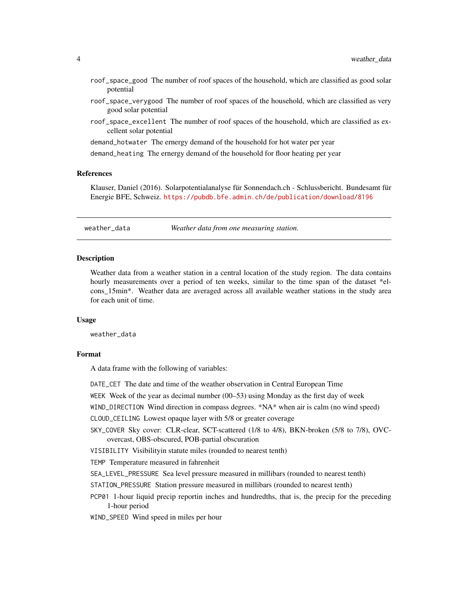- <span id="page-3-0"></span>roof\_space\_good The number of roof spaces of the household, which are classified as good solar potential
- roof\_space\_verygood The number of roof spaces of the household, which are classified as very good solar potential
- roof\_space\_excellent The number of roof spaces of the household, which are classified as excellent solar potential

demand\_hotwater The ernergy demand of the household for hot water per year

demand\_heating The ernergy demand of the household for floor heating per year

#### References

Klauser, Daniel (2016). Solarpotentialanalyse für Sonnendach.ch - Schlussbericht. Bundesamt für Energie BFE, Schweiz. <https://pubdb.bfe.admin.ch/de/publication/download/8196>

weather\_data *Weather data from one measuring station.*

#### **Description**

Weather data from a weather station in a central location of the study region. The data contains hourly measurements over a period of ten weeks, similar to the time span of the dataset \*elcons\_15min\*. Weather data are averaged across all available weather stations in the study area for each unit of time.

#### Usage

weather\_data

#### Format

A data frame with the following of variables:

DATE\_CET The date and time of the weather observation in Central European Time

WEEK Week of the year as decimal number (00–53) using Monday as the first day of week

WIND\_DIRECTION Wind direction in compass degrees. \*NA\* when air is calm (no wind speed)

CLOUD\_CEILING Lowest opaque layer with 5/8 or greater coverage

SKY\_COVER Sky cover: CLR-clear, SCT-scattered (1/8 to 4/8), BKN-broken (5/8 to 7/8), OVCovercast, OBS-obscured, POB-partial obscuration

VISIBILITY Visibilityin statute miles (rounded to nearest tenth)

TEMP Temperature measured in fahrenheit

SEA\_LEVEL\_PRESSURE Sea level pressure measured in millibars (rounded to nearest tenth)

- STATION\_PRESSURE Station pressure measured in millibars (rounded to nearest tenth)
- PCP01 1-hour liquid precip reportin inches and hundredths, that is, the precip for the preceding 1-hour period

WIND\_SPEED Wind speed in miles per hour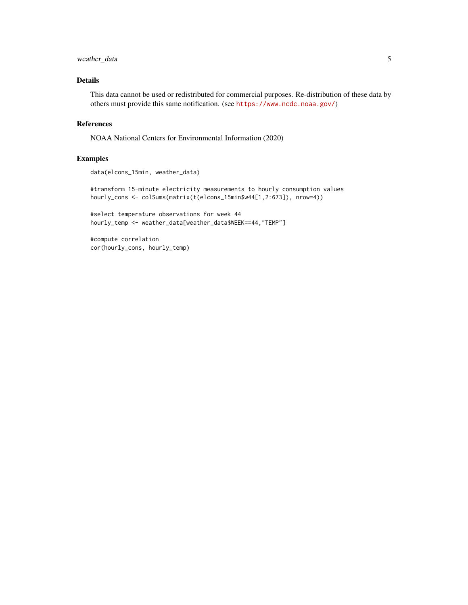#### weather\_data 5

#### Details

This data cannot be used or redistributed for commercial purposes. Re-distribution of these data by others must provide this same notification. (see <https://www.ncdc.noaa.gov/>)

#### References

NOAA National Centers for Environmental Information (2020)

#### Examples

```
data(elcons_15min, weather_data)
```
#transform 15-minute electricity measurements to hourly consumption values hourly\_cons <- colSums(matrix(t(elcons\_15min\$w44[1,2:673]), nrow=4))

#select temperature observations for week 44 hourly\_temp <- weather\_data[weather\_data\$WEEK==44,"TEMP"]

#compute correlation cor(hourly\_cons, hourly\_temp)